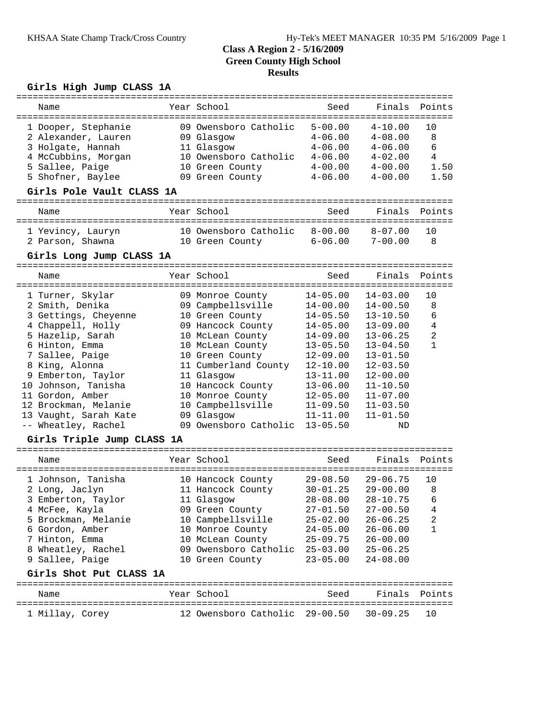# **Girls High Jump CLASS 1A**

| Name                       |  | Year School                    | Seed         | Finals       | Points       |  |
|----------------------------|--|--------------------------------|--------------|--------------|--------------|--|
|                            |  |                                |              |              |              |  |
| 1 Dooper, Stephanie        |  | 09 Owensboro Catholic          | $5 - 00.00$  | $4 - 10.00$  | 10           |  |
| 2 Alexander, Lauren        |  | 09 Glasgow                     | $4 - 06.00$  | $4 - 08.00$  | 8            |  |
| 3 Holgate, Hannah          |  | 11 Glasgow                     | $4 - 06.00$  | $4 - 06.00$  | 6            |  |
| 4 McCubbins, Morgan        |  | 10 Owensboro Catholic          | $4 - 06.00$  | $4 - 02.00$  | 4            |  |
| 5 Sallee, Paige            |  | 10 Green County                | $4 - 00.00$  | $4 - 00.00$  | 1.50         |  |
| 5 Shofner, Baylee          |  | 09 Green County                | $4 - 06.00$  | $4 - 00.00$  | 1.50         |  |
|                            |  |                                |              |              |              |  |
| Girls Pole Vault CLASS 1A  |  |                                |              |              |              |  |
| Name                       |  | Year School                    | Seed         | Finals       | Points       |  |
| 1 Yevincy, Lauryn          |  | 10 Owensboro Catholic          | $8 - 00.00$  | $8 - 07.00$  | 10           |  |
| 2 Parson, Shawna           |  | 10 Green County                | $6 - 06.00$  | $7 - 00.00$  | 8            |  |
|                            |  |                                |              |              |              |  |
| Girls Long Jump CLASS 1A   |  |                                |              |              |              |  |
| Name                       |  | Year School                    | Seed         | Finals       | Points       |  |
| 1 Turner, Skylar           |  | 09 Monroe County               | $14 - 05.00$ | $14 - 03.00$ | 10           |  |
| 2 Smith, Denika            |  | 09 Campbellsville              | $14 - 00.00$ | $14 - 00.50$ | 8            |  |
| 3 Gettings, Cheyenne       |  | 10 Green County                | $14 - 05.50$ | $13 - 10.50$ | 6            |  |
| 4 Chappell, Holly          |  | 09 Hancock County              | $14 - 05.00$ | $13 - 09.00$ | 4            |  |
| 5 Hazelip, Sarah           |  | 10 McLean County               | $14 - 09.00$ | $13 - 06.25$ | 2            |  |
| 6 Hinton, Emma             |  | 10 McLean County               | $13 - 05.50$ | $13 - 04.50$ | $\mathbf{1}$ |  |
| 7 Sallee, Paige            |  | 10 Green County                | $12 - 09.00$ | $13 - 01.50$ |              |  |
| 8 King, Alonna             |  | 11 Cumberland County           | $12 - 10.00$ | $12 - 03.50$ |              |  |
|                            |  |                                |              |              |              |  |
| 9 Emberton, Taylor         |  | 11 Glasgow                     | $13 - 11.00$ | $12 - 00.00$ |              |  |
| 10 Johnson, Tanisha        |  | 10 Hancock County              | $13 - 06.00$ | $11 - 10.50$ |              |  |
| 11 Gordon, Amber           |  | 10 Monroe County               | $12 - 05.00$ | $11 - 07.00$ |              |  |
| 12 Brockman, Melanie       |  | 10 Campbellsville              | $11 - 09.50$ | $11 - 03.50$ |              |  |
| 13 Vaught, Sarah Kate      |  | 09 Glasgow                     | $11 - 11.00$ | $11 - 01.50$ |              |  |
| -- Wheatley, Rachel        |  | 09 Owensboro Catholic          | $13 - 05.50$ | ΝD           |              |  |
| Girls Triple Jump CLASS 1A |  |                                |              |              |              |  |
| Name                       |  | Year School                    | Seed         | Finals       | Points       |  |
|                            |  |                                |              |              |              |  |
| 1 Johnson, Tanisha         |  | 10 Hancock County              | $29 - 08.50$ | $29 - 06.75$ | 10           |  |
| 2 Long, Jaclyn             |  | 11 Hancock County              | $30 - 01.25$ | $29 - 00.00$ | 8            |  |
| 3 Emberton, Taylor         |  | 11 Glasgow                     | $28 - 08.00$ | $28 - 10.75$ | - 6          |  |
| 4 McFee, Kayla             |  | 09 Green County                | $27 - 01.50$ | $27 - 00.50$ | 4            |  |
| 5 Brockman, Melanie        |  | 10 Campbellsville              | $25 - 02.00$ | $26 - 06.25$ | 2            |  |
| 6 Gordon, Amber            |  | 10 Monroe County               | $24 - 05.00$ | $26 - 06.00$ | 1            |  |
| 7 Hinton, Emma             |  | 10 McLean County               | $25 - 09.75$ |              |              |  |
| 8 Wheatley, Rachel         |  |                                |              | $26 - 00.00$ |              |  |
|                            |  | 09 Owensboro Catholic 25-03.00 |              | $25 - 06.25$ |              |  |
| 9 Sallee, Paige            |  | 10 Green County                | $23 - 05.00$ | $24 - 08.00$ |              |  |
| Girls Shot Put CLASS 1A    |  |                                |              |              |              |  |
| Name                       |  | Year School                    | Seed         | Finals       | Points       |  |
| 1 Millay, Corey            |  | 12 Owensboro Catholic 29-00.50 |              | $30 - 09.25$ | 10           |  |
|                            |  |                                |              |              |              |  |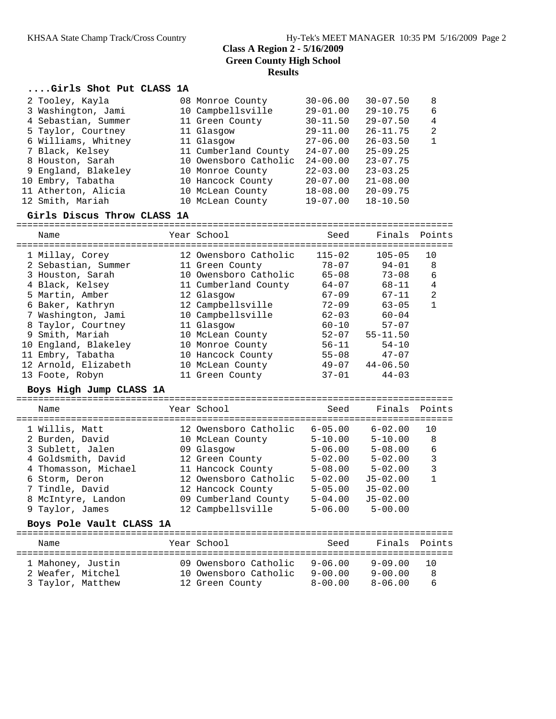## **....Girls Shot Put CLASS 1A**

| 2 Tooley, Kayla     | 08 Monroe County      | $30 - 06.00$ | $30 - 07.50$ | - 8            |
|---------------------|-----------------------|--------------|--------------|----------------|
| 3 Washington, Jami  | 10 Campbellsville     | $29 - 01.00$ | $29 - 10.75$ | 6              |
| 4 Sebastian, Summer | 11 Green County       | $30 - 11.50$ | $29 - 07.50$ | $\overline{4}$ |
| 5 Taylor, Courtney  | 11 Glasgow            | $29 - 11.00$ | $26 - 11.75$ | $\mathfrak{D}$ |
| 6 Williams, Whitney | 11 Glasgow            | $27 - 06.00$ | $26 - 03.50$ | $\mathbf{1}$   |
| 7 Black, Kelsey     | 11 Cumberland County  | $24 - 07.00$ | $25 - 09.25$ |                |
| 8 Houston, Sarah    | 10 Owensboro Catholic | $24 - 00.00$ | $23 - 07.75$ |                |
| 9 England, Blakeley | 10 Monroe County      | $22 - 03.00$ | $23 - 03.25$ |                |
| 10 Embry, Tabatha   | 10 Hancock County     | $20 - 07.00$ | $21 - 08.00$ |                |
| 11 Atherton, Alicia | 10 McLean County      | $18 - 08.00$ | $20 - 09.75$ |                |
| 12 Smith, Mariah    | 10 McLean County      | $19 - 07.00$ | $18 - 10.50$ |                |

#### **Girls Discus Throw CLASS 1A**

|    | Name                 | Year School           | Seed       | Finals Points |                |
|----|----------------------|-----------------------|------------|---------------|----------------|
|    | 1 Millay, Corey      | 12 Owensboro Catholic | $115 - 02$ | $105 - 05$    | 10             |
|    | 2 Sebastian, Summer  | 11 Green County       | $78 - 07$  | $94 - 01$     | 8              |
|    | 3 Houston, Sarah     | 10 Owensboro Catholic | $65 - 08$  | $73 - 08$     | 6              |
|    | 4 Black, Kelsey      | 11 Cumberland County  | $64 - 07$  | $68 - 11$     | 4              |
|    | 5 Martin, Amber      | 12 Glasgow            | $67 - 09$  | $67 - 11$     | $\mathfrak{D}$ |
|    | 6 Baker, Kathryn     | 12 Campbellsville     | $72 - 09$  | $63 - 05$     | 1              |
|    | 7 Washington, Jami   | 10 Campbellsville     | $62 - 03$  | $60 - 04$     |                |
|    | 8 Taylor, Courtney   | 11 Glasgow            | $60 - 10$  | $57 - 07$     |                |
|    | 9 Smith, Mariah      | 10 McLean County      | $52 - 07$  | $55 - 11.50$  |                |
|    | 10 England, Blakeley | 10 Monroe County      | $56 - 11$  | $54 - 10$     |                |
| 11 | Embry, Tabatha       | 10 Hancock County     | $55 - 08$  | $47 - 07$     |                |
|    | 12 Arnold, Elizabeth | 10 McLean County      | $49 - 07$  | $44 - 06.50$  |                |
|    | 13 Foote, Robyn      | 11 Green County       | $37 - 01$  | $44 - 03$     |                |
|    |                      |                       |            |               |                |

#### **Boys High Jump CLASS 1A**

| Name                                                                                                                                                                              | Year School                                                                                                                                                                                | Seed                                                                                                                                | Finals Points                                                                                                                          |                         |
|-----------------------------------------------------------------------------------------------------------------------------------------------------------------------------------|--------------------------------------------------------------------------------------------------------------------------------------------------------------------------------------------|-------------------------------------------------------------------------------------------------------------------------------------|----------------------------------------------------------------------------------------------------------------------------------------|-------------------------|
| 1 Willis, Matt<br>2 Burden, David<br>3 Sublett, Jalen<br>4 Goldsmith, David<br>4 Thomasson, Michael<br>6 Storm, Deron<br>7 Tindle, David<br>8 McIntyre, Landon<br>9 Taylor, James | 12 Owensboro Catholic<br>10 McLean County<br>09 Glasgow<br>12 Green County<br>11 Hancock County<br>12 Owensboro Catholic<br>12 Hancock County<br>09 Cumberland County<br>12 Campbellsville | $6 - 05.00$<br>$5 - 10.00$<br>$5 - 06.00$<br>$5 - 02.00$<br>$5 - 08.00$<br>$5 - 02.00$<br>$5 - 05.00$<br>$5 - 04.00$<br>$5 - 06.00$ | $6 - 02.00$<br>$5 - 10.00$<br>$5 - 08.00$<br>$5 - 02.00$<br>$5 - 02.00$<br>$J5 - 02.00$<br>$J5 - 02.00$<br>$J5 - 02.00$<br>$5 - 00.00$ | 1 O<br>8<br>6<br>3<br>3 |
|                                                                                                                                                                                   |                                                                                                                                                                                            |                                                                                                                                     |                                                                                                                                        |                         |
|                                                                                                                                                                                   |                                                                                                                                                                                            |                                                                                                                                     |                                                                                                                                        |                         |

## **Boys Pole Vault CLASS 1A**

| Name              | Year School           | Seed        | Finals Points |     |
|-------------------|-----------------------|-------------|---------------|-----|
| 1 Mahoney, Justin | 09 Owensboro Catholic | 9-06.00     | $9 - 09.00$   | 1 O |
| 2 Weafer, Mitchel | 10 Owensboro Catholic | $9 - 00.00$ | $9 - 00.00$   | 8   |
| 3 Taylor, Matthew | 12 Green County       | $8 - 00.00$ | $8 - 06.00$   | 6   |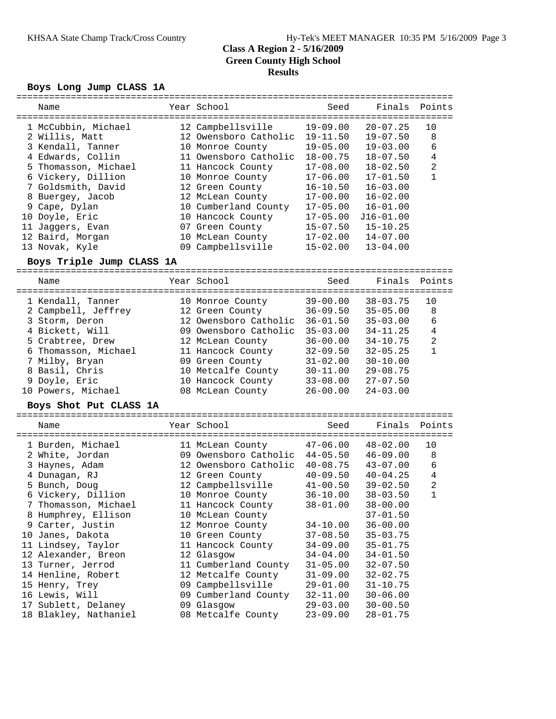#### **Boys Long Jump CLASS 1A**

| Name                      | Year School                    | Seed         | Finals        | Points         |
|---------------------------|--------------------------------|--------------|---------------|----------------|
| 1 McCubbin, Michael       | 12 Campbellsville              | 19-09.00     | $20 - 07.25$  | 10             |
| 2 Willis, Matt            | 12 Owensboro Catholic          | $19 - 11.50$ | $19 - 07.50$  | 8              |
| 3 Kendall, Tanner         | 10 Monroe County               | $19 - 05.00$ | $19 - 03.00$  | 6              |
| 4 Edwards, Collin         | 11 Owensboro Catholic          | $18 - 00.75$ | $18 - 07.50$  | $\overline{4}$ |
| 5 Thomasson, Michael      | 11 Hancock County              | $17 - 08.00$ | $18 - 02.50$  | $\overline{a}$ |
| 6 Vickery, Dillion        | 10 Monroe County               | $17 - 06.00$ | $17 - 01.50$  | 1              |
| 7 Goldsmith, David        | 12 Green County                | $16 - 10.50$ | $16 - 03.00$  |                |
| 8 Buergey, Jacob          | 12 McLean County               | $17 - 00.00$ | $16 - 02.00$  |                |
| 9 Cape, Dylan             | 10 Cumberland County           | $17 - 05.00$ | $16 - 01.00$  |                |
| 10 Doyle, Eric            | 10 Hancock County              | $17 - 05.00$ | $J16 - 01.00$ |                |
| 11 Jaggers, Evan          | 07 Green County                | $15 - 07.50$ | $15 - 10.25$  |                |
| 12 Baird, Morgan          | 10 McLean County               | $17 - 02.00$ | $14 - 07.00$  |                |
| 13 Novak, Kyle            | 09 Campbellsville              | $15 - 02.00$ | $13 - 04.00$  |                |
| Boys Triple Jump CLASS 1A |                                |              |               |                |
| Name                      | Year School                    | Seed         | Finals        | Points         |
| 1 Kendall, Tanner         | 10 Monroe County               | $39 - 00.00$ | $38 - 03.75$  | 10             |
| 2 Campbell, Jeffrey       | 12 Green County                | $36 - 09.50$ | $35 - 05.00$  | 8              |
| 3 Storm, Deron            | 12 Owensboro Catholic          | $36 - 01.50$ | $35 - 03.00$  | 6              |
| 4 Bickett, Will           | 09 Owensboro Catholic          | $35 - 03.00$ | $34 - 11.25$  | $\overline{4}$ |
| 5 Crabtree, Drew          | 12 McLean County               | $36 - 00.00$ | $34 - 10.75$  | $\mathbf{2}$   |
| 6 Thomasson, Michael      | 11 Hancock County              | $32 - 09.50$ | $32 - 05.25$  | $\mathbf{1}$   |
| 7 Milby, Bryan            | 09 Green County                | $31 - 02.00$ | $30 - 10.00$  |                |
| 8 Basil, Chris            | 10 Metcalfe County             | $30 - 11.00$ | $29 - 08.75$  |                |
| 9 Doyle, Eric             | 10 Hancock County              | $33 - 08.00$ | $27 - 07.50$  |                |
| 10 Powers, Michael        | 08 McLean County               | $26 - 00.00$ | $24 - 03.00$  |                |
| Boys Shot Put CLASS 1A    |                                |              |               |                |
| Name                      | Year School                    | Seed         | Finals        | Points         |
| 1 Burden, Michael         | 11 McLean County               | $47 - 06.00$ | $48 - 02.00$  | 10             |
| 2 White, Jordan           | 09 Owensboro Catholic 44-05.50 |              | $46 - 09.00$  | 8              |
| 3 Haynes, Adam            | 12 Owensboro Catholic          | $40 - 08.75$ | $43 - 07.00$  | 6              |
| 4 Dunagan, RJ             | 12 Green County                | $40 - 09.50$ | $40 - 04.25$  | $\overline{4}$ |
| 5 Bunch, Doug             | 12 Campbellsville              | $41 - 00.50$ | $39 - 02.50$  | $\overline{a}$ |
| 6 Vickery, Dillion        | 10 Monroe County               | $36 - 10.00$ | $38 - 03.50$  | $\mathbf{1}$   |
| 7 Thomasson, Michael      | 11 Hancock County              | $38 - 01.00$ | $38 - 00.00$  |                |
| 8 Humphrey, Ellison       | 10 McLean County               |              | $37 - 01.50$  |                |
| 9 Carter, Justin          | 12 Monroe County               | $34 - 10.00$ | $36 - 00.00$  |                |
| 10 Janes, Dakota          | 10 Green County                | $37 - 08.50$ | $35 - 03.75$  |                |
| 11 Lindsey, Taylor        | 11 Hancock County              | $34 - 09.00$ | $35 - 01.75$  |                |
| 12 Alexander, Breon       | 12 Glasgow                     | $34 - 04.00$ | $34 - 01.50$  |                |
| 13 Turner, Jerrod         | 11 Cumberland County           | $31 - 05.00$ | $32 - 07.50$  |                |
| 14 Henline, Robert        | 12 Metcalfe County             | $31 - 09.00$ | $32 - 02.75$  |                |
| 15 Henry, Trey            | 09 Campbellsville              | $29 - 01.00$ | $31 - 10.75$  |                |
| 16 Lewis, Will            | 09 Cumberland County           | $32 - 11.00$ | $30 - 06.00$  |                |

 17 Sublett, Delaney 09 Glasgow 29-03.00 30-00.50 18 Blakley, Nathaniel 08 Metcalfe County 23-09.00 28-01.75